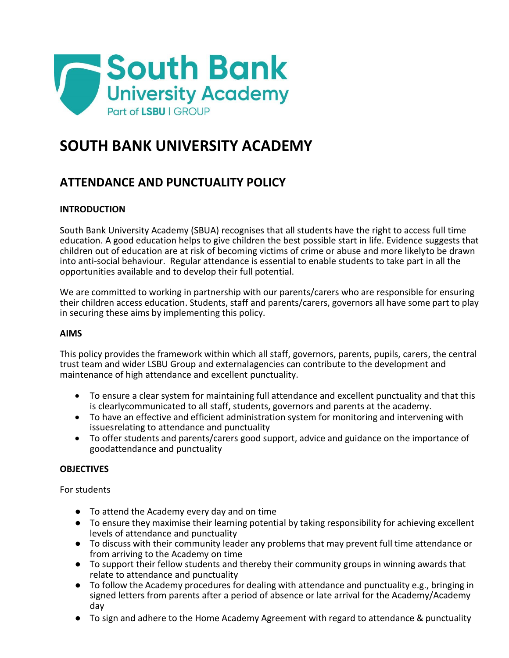

# **SOUTH BANK UNIVERSITY ACADEMY**

# **ATTENDANCE AND PUNCTUALITY POLICY**

# **INTRODUCTION**

South Bank University Academy (SBUA) recognises that all students have the right to access full time education. A good education helps to give children the best possible start in life. Evidence suggests that children out of education are at risk of becoming victims of crime or abuse and more likelyto be drawn into anti-social behaviour. Regular attendance is essential to enable students to take part in all the opportunities available and to develop their full potential.

We are committed to working in partnership with our parents/carers who are responsible for ensuring their children access education. Students, staff and parents/carers, governors all have some part to play in securing these aims by implementing this policy.

#### **AIMS**

This policy provides the framework within which all staff, governors, parents, pupils, carers, the central trust team and wider LSBU Group and externalagencies can contribute to the development and maintenance of high attendance and excellent punctuality.

- To ensure a clear system for maintaining full attendance and excellent punctuality and that this is clearlycommunicated to all staff, students, governors and parents at the academy.
- To have an effective and efficient administration system for monitoring and intervening with issuesrelating to attendance and punctuality
- To offer students and parents/carers good support, advice and guidance on the importance of goodattendance and punctuality

#### **OBJECTIVES**

For students

- To attend the Academy every day and on time
- To ensure they maximise their learning potential by taking responsibility for achieving excellent levels of attendance and punctuality
- To discuss with their community leader any problems that may prevent full time attendance or from arriving to the Academy on time
- To support their fellow students and thereby their community groups in winning awards that relate to attendance and punctuality
- To follow the Academy procedures for dealing with attendance and punctuality e.g., bringing in signed letters from parents after a period of absence or late arrival for the Academy/Academy day
- To sign and adhere to the Home Academy Agreement with regard to attendance & punctuality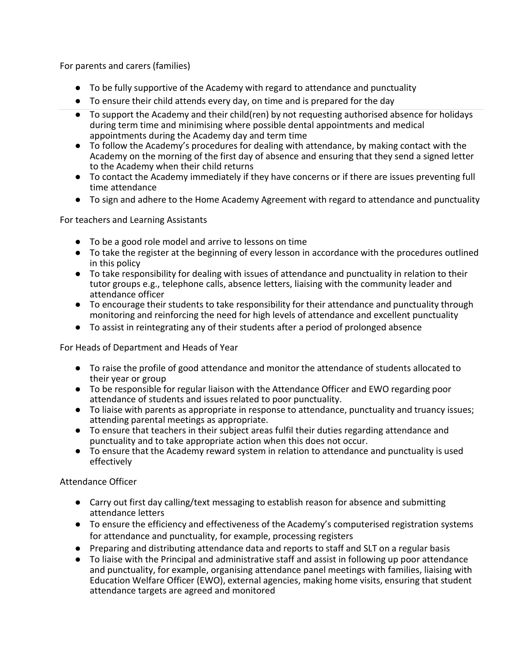For parents and carers (families)

- To be fully supportive of the Academy with regard to attendance and punctuality
- To ensure their child attends every day, on time and is prepared for the day
- To support the Academy and their child(ren) by not requesting authorised absence for holidays during term time and minimising where possible dental appointments and medical appointments during the Academy day and term time
- To follow the Academy's procedures for dealing with attendance, by making contact with the Academy on the morning of the first day of absence and ensuring that they send a signed letter to the Academy when their child returns
- To contact the Academy immediately if they have concerns or if there are issues preventing full time attendance
- To sign and adhere to the Home Academy Agreement with regard to attendance and punctuality

For teachers and Learning Assistants

- To be a good role model and arrive to lessons on time
- To take the register at the beginning of every lesson in accordance with the procedures outlined in this policy
- To take responsibility for dealing with issues of attendance and punctuality in relation to their tutor groups e.g., telephone calls, absence letters, liaising with the community leader and attendance officer
- To encourage their students to take responsibility for their attendance and punctuality through monitoring and reinforcing the need for high levels of attendance and excellent punctuality
- To assist in reintegrating any of their students after a period of prolonged absence

For Heads of Department and Heads of Year

- To raise the profile of good attendance and monitor the attendance of students allocated to their year or group
- To be responsible for regular liaison with the Attendance Officer and EWO regarding poor attendance of students and issues related to poor punctuality.
- To liaise with parents as appropriate in response to attendance, punctuality and truancy issues; attending parental meetings as appropriate.
- To ensure that teachers in their subject areas fulfil their duties regarding attendance and punctuality and to take appropriate action when this does not occur.
- To ensure that the Academy reward system in relation to attendance and punctuality is used effectively

Attendance Officer

- Carry out first day calling/text messaging to establish reason for absence and submitting attendance letters
- To ensure the efficiency and effectiveness of the Academy's computerised registration systems for attendance and punctuality, for example, processing registers
- Preparing and distributing attendance data and reports to staff and SLT on a regular basis
- To liaise with the Principal and administrative staff and assist in following up poor attendance and punctuality, for example, organising attendance panel meetings with families, liaising with Education Welfare Officer (EWO), external agencies, making home visits, ensuring that student attendance targets are agreed and monitored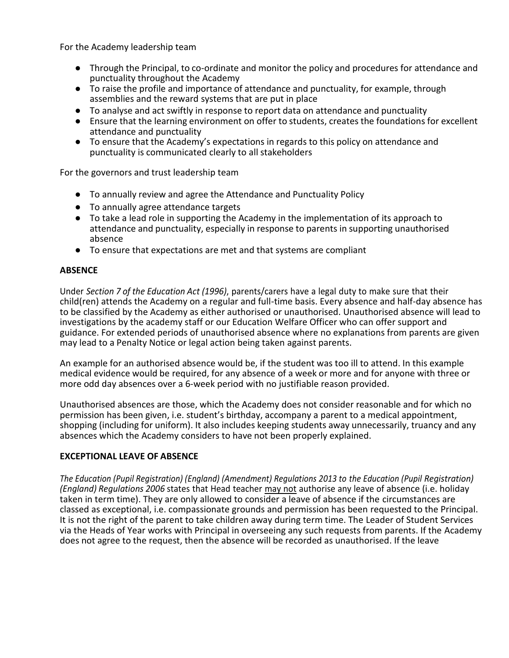For the Academy leadership team

- Through the Principal, to co-ordinate and monitor the policy and procedures for attendance and punctuality throughout the Academy
- To raise the profile and importance of attendance and punctuality, for example, through assemblies and the reward systems that are put in place
- To analyse and act swiftly in response to report data on attendance and punctuality
- Ensure that the learning environment on offer to students, creates the foundations for excellent attendance and punctuality
- To ensure that the Academy's expectations in regards to this policy on attendance and punctuality is communicated clearly to all stakeholders

For the governors and trust leadership team

- To annually review and agree the Attendance and Punctuality Policy
- To annually agree attendance targets
- To take a lead role in supporting the Academy in the implementation of its approach to attendance and punctuality, especially in response to parents in supporting unauthorised absence
- To ensure that expectations are met and that systems are compliant

#### **ABSENCE**

Under *Section 7 of the Education Act (1996)*, parents/carers have a legal duty to make sure that their child(ren) attends the Academy on a regular and full-time basis. Every absence and half-day absence has to be classified by the Academy as either authorised or unauthorised. Unauthorised absence will lead to investigations by the academy staff or our Education Welfare Officer who can offer support and guidance. For extended periods of unauthorised absence where no explanations from parents are given may lead to a Penalty Notice or legal action being taken against parents.

An example for an authorised absence would be, if the student was too ill to attend. In this example medical evidence would be required, for any absence of a week or more and for anyone with three or more odd day absences over a 6-week period with no justifiable reason provided.

Unauthorised absences are those, which the Academy does not consider reasonable and for which no permission has been given, i.e. student's birthday, accompany a parent to a medical appointment, shopping (including for uniform). It also includes keeping students away unnecessarily, truancy and any absences which the Academy considers to have not been properly explained.

#### **EXCEPTIONAL LEAVE OF ABSENCE**

*The Education (Pupil Registration) (England) (Amendment) Regulations 2013 to the Education (Pupil Registration) (England) Regulations 2006* states that Head teacher may not authorise any leave of absence (i.e. holiday taken in term time). They are only allowed to consider a leave of absence if the circumstances are classed as exceptional, i.e. compassionate grounds and permission has been requested to the Principal. It is not the right of the parent to take children away during term time. The Leader of Student Services via the Heads of Year works with Principal in overseeing any such requests from parents. If the Academy does not agree to the request, then the absence will be recorded as unauthorised. If the leave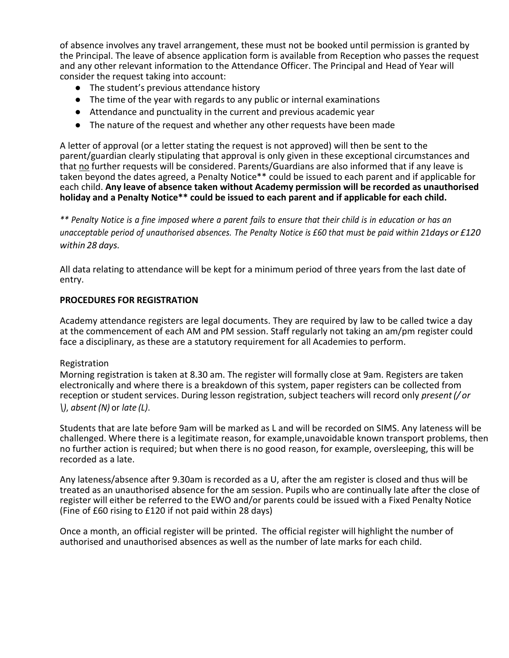of absence involves any travel arrangement, these must not be booked until permission is granted by the Principal. The leave of absence application form is available from Reception who passes the request and any other relevant information to the Attendance Officer. The Principal and Head of Year will consider the request taking into account:

- The student's previous attendance history
- The time of the year with regards to any public or internal examinations
- Attendance and punctuality in the current and previous academic year
- The nature of the request and whether any other requests have been made

A letter of approval (or a letter stating the request is not approved) will then be sent to the parent/guardian clearly stipulating that approval is only given in these exceptional circumstances and that no further requests will be considered. Parents/Guardians are also informed that if any leave is taken beyond the dates agreed, a Penalty Notice\*\* could be issued to each parent and if applicable for each child. **Any leave of absence taken without Academy permission will be recorded as unauthorised holiday and a Penalty Notice\*\* could be issued to each parent and if applicable for each child.**

\*\* Penalty Notice is a fine imposed where a parent fails to ensure that their child is in education or has an unacceptable period of unauthorised absences. The Penalty Notice is £60 that must be paid within 21days or £120 *within 28 days.*

All data relating to attendance will be kept for a minimum period of three years from the last date of entry.

#### **PROCEDURES FOR REGISTRATION**

Academy attendance registers are legal documents. They are required by law to be called twice a day at the commencement of each AM and PM session. Staff regularly not taking an am/pm register could face a disciplinary, as these are a statutory requirement for all Academies to perform.

#### Registration

Morning registration is taken at 8.30 am. The register will formally close at 9am. Registers are taken electronically and where there is a breakdown of this system, paper registers can be collected from reception or student services. During lesson registration, subject teachers will record only *present(/ or \)*, *absent (N)* or *late (L)*.

Students that are late before 9am will be marked as L and will be recorded on SIMS. Any lateness will be challenged. Where there is a legitimate reason, for example,unavoidable known transport problems, then no further action is required; but when there is no good reason, for example, oversleeping, this will be recorded as a late.

Any lateness/absence after 9.30am is recorded as a U, after the am register is closed and thus will be treated as an unauthorised absence for the am session. Pupils who are continually late after the close of register will either be referred to the EWO and/or parents could be issued with a Fixed Penalty Notice (Fine of £60 rising to £120 if not paid within 28 days)

Once a month, an official register will be printed. The official register will highlight the number of authorised and unauthorised absences as well as the number of late marks for each child.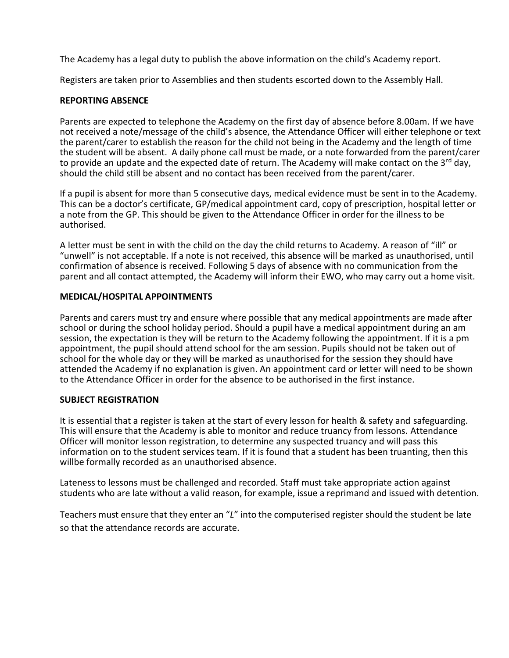The Academy has a legal duty to publish the above information on the child's Academy report.

Registers are taken prior to Assemblies and then students escorted down to the Assembly Hall.

# **REPORTING ABSENCE**

Parents are expected to telephone the Academy on the first day of absence before 8.00am. If we have not received a note/message of the child's absence, the Attendance Officer will either telephone or text the parent/carer to establish the reason for the child not being in the Academy and the length of time the student will be absent. A daily phone call must be made, or a note forwarded from the parent/carer to provide an update and the expected date of return. The Academy will make contact on the 3<sup>rd</sup> day, should the child still be absent and no contact has been received from the parent/carer.

If a pupil is absent for more than 5 consecutive days, medical evidence must be sent in to the Academy. This can be a doctor's certificate, GP/medical appointment card, copy of prescription, hospital letter or a note from the GP. This should be given to the Attendance Officer in order for the illness to be authorised.

A letter must be sent in with the child on the day the child returns to Academy. A reason of "ill" or "unwell" is not acceptable. If a note is not received, this absence will be marked as unauthorised, until confirmation of absence is received. Following 5 days of absence with no communication from the parent and all contact attempted, the Academy will inform their EWO, who may carry out a home visit.

#### **MEDICAL/HOSPITAL APPOINTMENTS**

Parents and carers must try and ensure where possible that any medical appointments are made after school or during the school holiday period. Should a pupil have a medical appointment during an am session, the expectation is they will be return to the Academy following the appointment. If it is a pm appointment, the pupil should attend school for the am session. Pupils should not be taken out of school for the whole day or they will be marked as unauthorised for the session they should have attended the Academy if no explanation is given. An appointment card or letter will need to be shown to the Attendance Officer in order for the absence to be authorised in the first instance.

#### **SUBJECT REGISTRATION**

It is essential that a register is taken at the start of every lesson for health & safety and safeguarding. This will ensure that the Academy is able to monitor and reduce truancy from lessons. Attendance Officer will monitor lesson registration, to determine any suspected truancy and will pass this information on to the student services team. If it is found that a student has been truanting, then this willbe formally recorded as an unauthorised absence.

Lateness to lessons must be challenged and recorded. Staff must take appropriate action against students who are late without a valid reason, for example, issue a reprimand and issued with detention.

Teachers must ensure that they enter an "*L*" into the computerised register should the student be late so that the attendance records are accurate.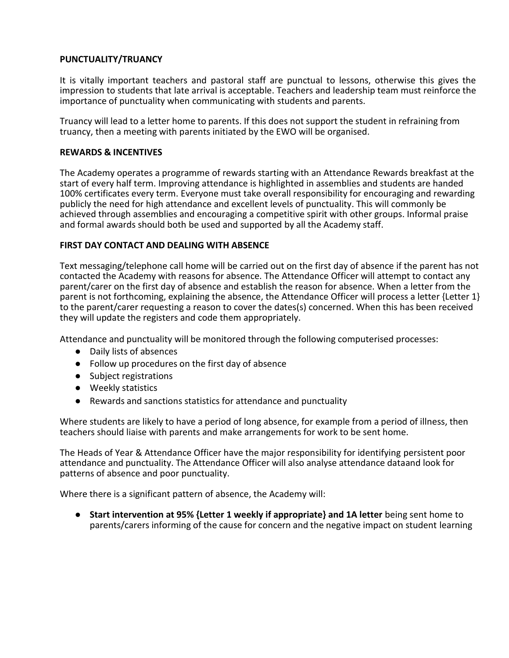# **PUNCTUALITY/TRUANCY**

It is vitally important teachers and pastoral staff are punctual to lessons, otherwise this gives the impression to students that late arrival is acceptable. Teachers and leadership team must reinforce the importance of punctuality when communicating with students and parents.

Truancy will lead to a letter home to parents. If this does not support the student in refraining from truancy, then a meeting with parents initiated by the EWO will be organised.

#### **REWARDS & INCENTIVES**

The Academy operates a programme of rewards starting with an Attendance Rewards breakfast at the start of every half term. Improving attendance is highlighted in assemblies and students are handed 100% certificates every term. Everyone must take overall responsibility for encouraging and rewarding publicly the need for high attendance and excellent levels of punctuality. This will commonly be achieved through assemblies and encouraging a competitive spirit with other groups. Informal praise and formal awards should both be used and supported by all the Academy staff.

# **FIRST DAY CONTACT AND DEALING WITH ABSENCE**

Text messaging/telephone call home will be carried out on the first day of absence if the parent has not contacted the Academy with reasons for absence. The Attendance Officer will attempt to contact any parent/carer on the first day of absence and establish the reason for absence. When a letter from the parent is not forthcoming, explaining the absence, the Attendance Officer will process a letter {Letter 1} to the parent/carer requesting a reason to cover the dates(s) concerned. When this has been received they will update the registers and code them appropriately.

Attendance and punctuality will be monitored through the following computerised processes:

- Daily lists of absences
- Follow up procedures on the first day of absence
- Subject registrations
- Weekly statistics
- Rewards and sanctions statistics for attendance and punctuality

Where students are likely to have a period of long absence, for example from a period of illness, then teachers should liaise with parents and make arrangements for work to be sent home.

The Heads of Year & Attendance Officer have the major responsibility for identifying persistent poor attendance and punctuality. The Attendance Officer will also analyse attendance dataand look for patterns of absence and poor punctuality.

Where there is a significant pattern of absence, the Academy will:

● **Start intervention at 95% {Letter 1 weekly if appropriate} and 1A letter** being sent home to parents/carers informing of the cause for concern and the negative impact on student learning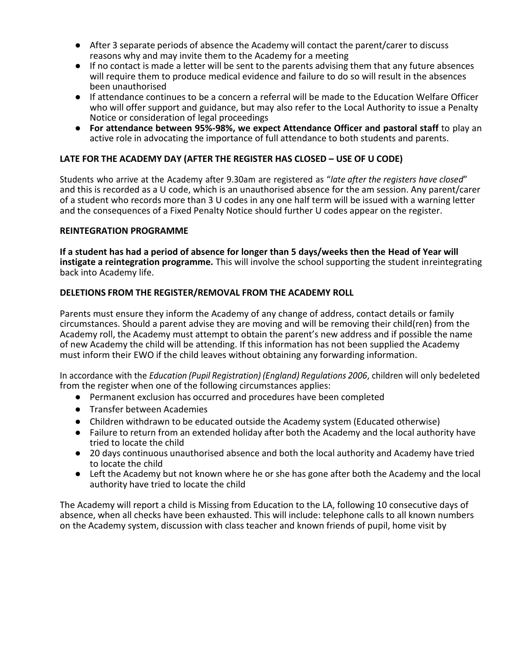- After 3 separate periods of absence the Academy will contact the parent/carer to discuss reasons why and may invite them to the Academy for a meeting
- If no contact is made a letter will be sent to the parents advising them that any future absences will require them to produce medical evidence and failure to do so will result in the absences been unauthorised
- If attendance continues to be a concern a referral will be made to the Education Welfare Officer who will offer support and guidance, but may also refer to the Local Authority to issue a Penalty Notice or consideration of legal proceedings
- **For attendance between 95%-98%, we expect Attendance Officer and pastoral staff** to play an active role in advocating the importance of full attendance to both students and parents.

# **LATE FOR THE ACADEMY DAY (AFTER THE REGISTER HAS CLOSED – USE OF U CODE)**

Students who arrive at the Academy after 9.30am are registered as "*late after the registers have closed*" and this is recorded as a U code, which is an unauthorised absence for the am session. Any parent/carer of a student who records more than 3 U codes in any one half term will be issued with a warning letter and the consequences of a Fixed Penalty Notice should further U codes appear on the register.

#### **REINTEGRATION PROGRAMME**

**If a student has had a period of absence for longer than 5 days/weeks then the Head of Year will instigate a reintegration programme.** This will involve the school supporting the student inreintegrating back into Academy life.

#### **DELETIONS FROM THE REGISTER/REMOVAL FROM THE ACADEMY ROLL**

Parents must ensure they inform the Academy of any change of address, contact details or family circumstances. Should a parent advise they are moving and will be removing their child(ren) from the Academy roll, the Academy must attempt to obtain the parent's new address and if possible the name of new Academy the child will be attending. If this information has not been supplied the Academy must inform their EWO if the child leaves without obtaining any forwarding information.

In accordance with the *Education (Pupil Registration) (England) Regulations 2006*, children will only bedeleted from the register when one of the following circumstances applies:

- Permanent exclusion has occurred and procedures have been completed
- Transfer between Academies
- Children withdrawn to be educated outside the Academy system (Educated otherwise)
- Failure to return from an extended holiday after both the Academy and the local authority have tried to locate the child
- 20 days continuous unauthorised absence and both the local authority and Academy have tried to locate the child
- Left the Academy but not known where he or she has gone after both the Academy and the local authority have tried to locate the child

The Academy will report a child is Missing from Education to the LA, following 10 consecutive days of absence, when all checks have been exhausted. This will include: telephone calls to all known numbers on the Academy system, discussion with class teacher and known friends of pupil, home visit by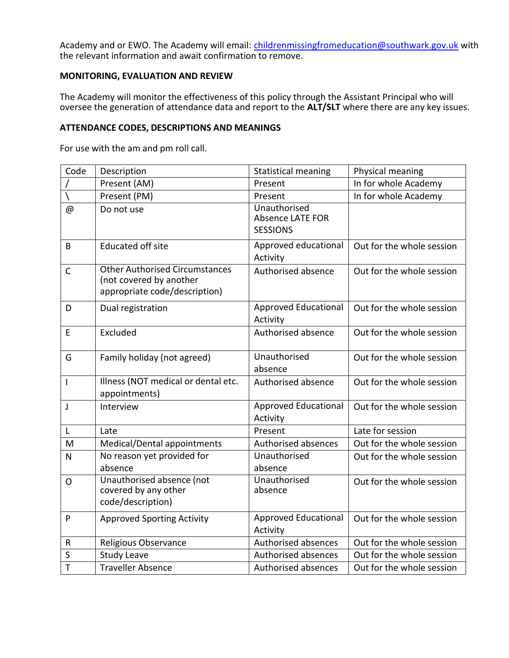Academy and or EWO. The Academy will email: *childrenmissingfromeducation@southwark.gov.uk* with the relevant information and await confirmation to remove.

# **MONITORING, EVALUATION AND REVIEW**

The Academy will monitor the effectiveness of this policy through the Assistant Principal who will oversee the generation of attendance data and report to the **ALT/SLT** where there are any key issues.

#### **ATTENDANCE CODES, DESCRIPTIONS AND MEANINGS**

For use with the am and pm roll call.

| Code           | Description                                                                                       | <b>Statistical meaning</b>                                 | Physical meaning          |
|----------------|---------------------------------------------------------------------------------------------------|------------------------------------------------------------|---------------------------|
|                | Present (AM)                                                                                      | Present                                                    | In for whole Academy      |
|                | Present (PM)                                                                                      | Present                                                    | In for whole Academy      |
| @              | Do not use                                                                                        | Unauthorised<br><b>Absence LATE FOR</b><br><b>SESSIONS</b> |                           |
| B              | <b>Educated off site</b>                                                                          | Approved educational<br>Activity                           | Out for the whole session |
| $\mathsf{C}$   | <b>Other Authorised Circumstances</b><br>(not covered by another<br>appropriate code/description) | Authorised absence                                         | Out for the whole session |
| D              | Dual registration                                                                                 | Approved Educational<br>Activity                           | Out for the whole session |
| E              | Excluded                                                                                          | Authorised absence                                         | Out for the whole session |
| G              | Family holiday (not agreed)                                                                       | Unauthorised<br>absence                                    | Out for the whole session |
| $\overline{1}$ | Illness (NOT medical or dental etc.<br>appointments)                                              | Authorised absence                                         | Out for the whole session |
| J              | Interview                                                                                         | Approved Educational<br>Activity                           | Out for the whole session |
| L              | Late                                                                                              | Present                                                    | Late for session          |
| M              | Medical/Dental appointments                                                                       | Authorised absences                                        | Out for the whole session |
| N              | No reason yet provided for<br>absence                                                             | Unauthorised<br>absence                                    | Out for the whole session |
| O              | Unauthorised absence (not<br>covered by any other<br>code/description)                            | Unauthorised<br>absence                                    | Out for the whole session |
| P              | <b>Approved Sporting Activity</b>                                                                 | Approved Educational<br>Activity                           | Out for the whole session |
| R              | Religious Observance                                                                              | Authorised absences                                        | Out for the whole session |
| S              | <b>Study Leave</b>                                                                                | Authorised absences                                        | Out for the whole session |
| T              | <b>Traveller Absence</b>                                                                          | Authorised absences                                        | Out for the whole session |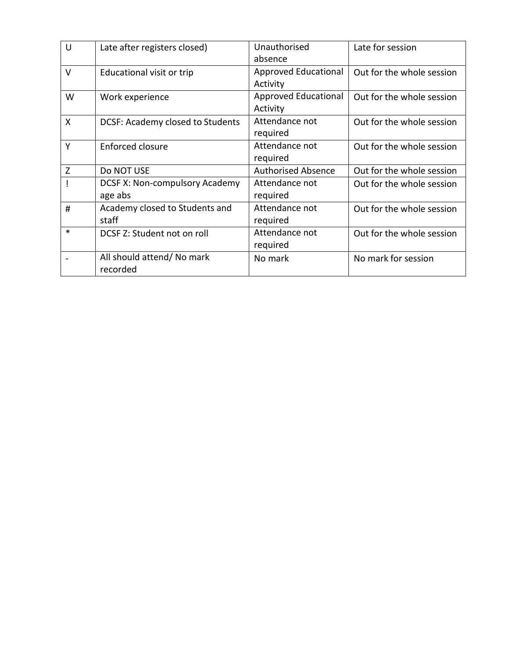| $\cup$ | Late after registers closed)                     | Unauthorised<br>absence                 | Late for session          |
|--------|--------------------------------------------------|-----------------------------------------|---------------------------|
| $\vee$ | Educational visit or trip                        | Approved Educational<br>Activity        | Out for the whole session |
| W      | Work experience                                  | <b>Approved Educational</b><br>Activity | Out for the whole session |
| X      | DCSF: Academy closed to Students                 | Attendance not<br>required              | Out for the whole session |
| Υ      | <b>Enforced closure</b>                          | Attendance not<br>required              | Out for the whole session |
| Z      | Do NOT USE                                       | <b>Authorised Absence</b>               | Out for the whole session |
|        | <b>DCSF X: Non-compulsory Academy</b><br>age abs | Attendance not<br>required              | Out for the whole session |
| #      | Academy closed to Students and<br>staff          | Attendance not<br>required              | Out for the whole session |
| $\ast$ | DCSF Z: Student not on roll                      | Attendance not<br>required              | Out for the whole session |
|        | All should attend/ No mark<br>recorded           | No mark                                 | No mark for session       |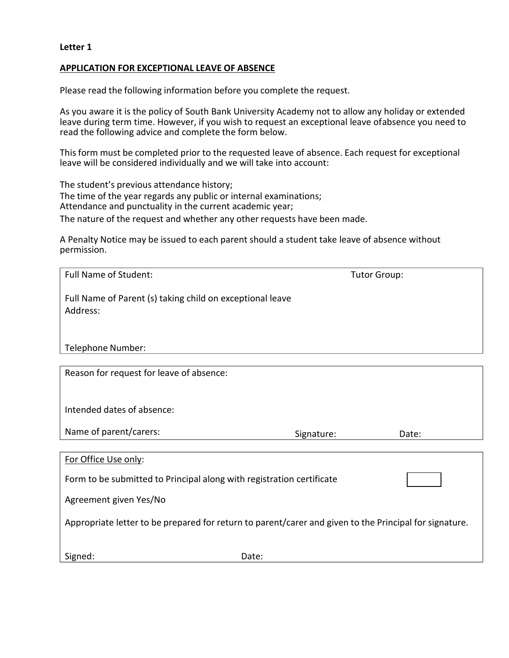#### **APPLICATION FOR EXCEPTIONAL LEAVE OF ABSENCE**

Please read the following information before you complete the request.

As you aware it is the policy of South Bank University Academy not to allow any holiday or extended leave during term time. However, if you wish to request an exceptional leave ofabsence you need to read the following advice and complete the form below.

This form must be completed prior to the requested leave of absence. Each request for exceptional leave will be considered individually and we will take into account:

The student's previous attendance history; The time of the year regards any public or internal examinations; Attendance and punctuality in the current academic year; The nature of the request and whether any other requests have been made.

A Penalty Notice may be issued to each parent should a student take leave of absence without permission.

| <b>Full Name of Student:</b>                                                                                            |            | <b>Tutor Group:</b> |  |  |  |
|-------------------------------------------------------------------------------------------------------------------------|------------|---------------------|--|--|--|
| Full Name of Parent (s) taking child on exceptional leave<br>Address:                                                   |            |                     |  |  |  |
| Telephone Number:                                                                                                       |            |                     |  |  |  |
| Reason for request for leave of absence:                                                                                |            |                     |  |  |  |
| Intended dates of absence:                                                                                              |            |                     |  |  |  |
| Name of parent/carers:                                                                                                  | Signature: | Date:               |  |  |  |
| For Office Use only:<br>Form to be submitted to Principal along with registration certificate<br>Agreement given Yes/No |            |                     |  |  |  |
| Appropriate letter to be prepared for return to parent/carer and given to the Principal for signature.                  |            |                     |  |  |  |
| Signed:                                                                                                                 | Date:      |                     |  |  |  |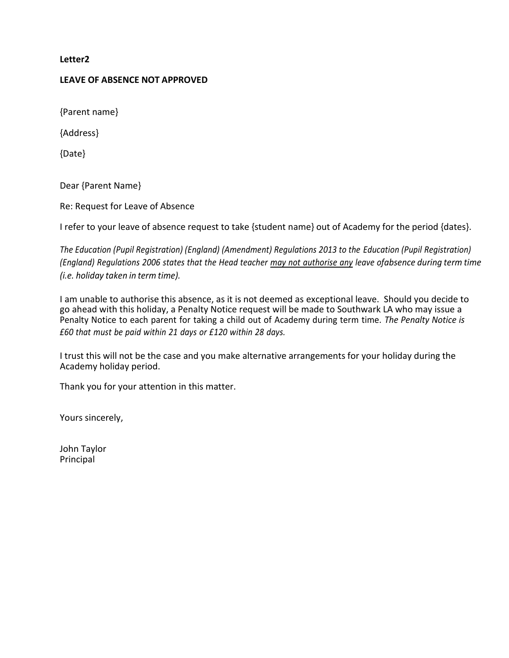# **LEAVE OF ABSENCE NOT APPROVED**

{Parent name}

{Address}

{Date}

Dear {Parent Name}

Re: Request for Leave of Absence

I refer to your leave of absence request to take {student name} out of Academy for the period {dates}.

*The Education (Pupil Registration) (England) (Amendment) Regulations 2013 to the Education (Pupil Registration)* (England) Regulations 2006 states that the Head teacher may not authorise any leave ofabsence during term time *(i.e. holiday taken in term time).*

I am unable to authorise this absence, as it is not deemed as exceptional leave. Should you decide to go ahead with this holiday, a Penalty Notice request will be made to Southwark LA who may issue a Penalty Notice to each parent for taking a child out of Academy during term time. *The Penalty Notice is £60 that must be paid within 21 days or £120 within 28 days.*

I trust this will not be the case and you make alternative arrangements for your holiday during the Academy holiday period.

Thank you for your attention in this matter.

Yours sincerely,

John Taylor Principal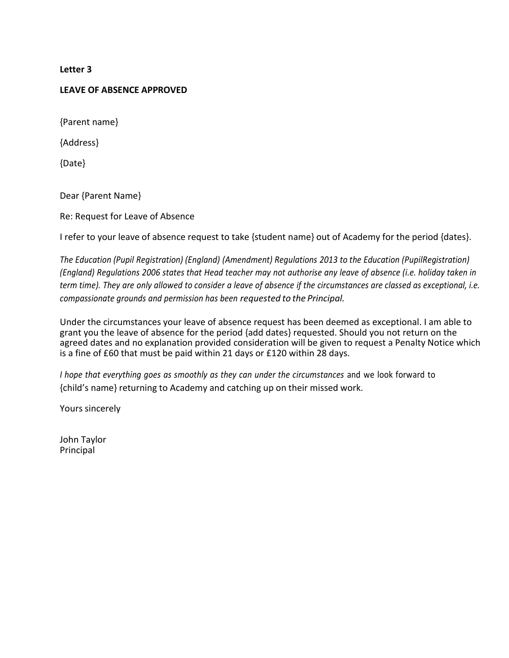#### **LEAVE OF ABSENCE APPROVED**

{Parent name}

{Address}

{Date}

Dear {Parent Name}

Re: Request for Leave of Absence

I refer to your leave of absence request to take {student name} out of Academy for the period {dates}.

*The Education (Pupil Registration) (England) (Amendment) Regulations 2013 to the Education (PupilRegistration)* (England) Regulations 2006 states that Head teacher may not authorise any leave of absence (i.e. holiday taken in *term time). They are only allowed to consider a leave of absence if the circumstances are classed as exceptional, i.e. compassionate grounds and permission has been requested to the Principal.*

Under the circumstances your leave of absence request has been deemed as exceptional. I am able to grant you the leave of absence for the period {add dates} requested. Should you not return on the agreed dates and no explanation provided consideration will be given to request a Penalty Notice which is a fine of £60 that must be paid within 21 days or £120 within 28 days.

*I hope that everything goes as smoothly as they can under the circumstances* and we look forward to {child's name} returning to Academy and catching up on their missed work.

Yours sincerely

John Taylor Principal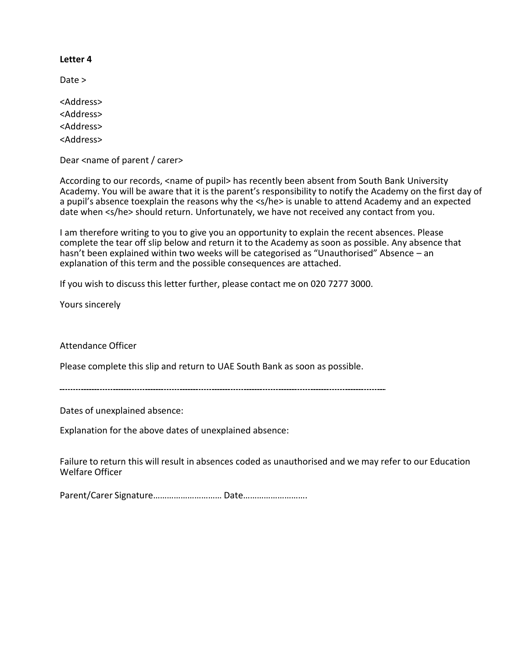Date >

<Address> <Address> <Address> <Address>

Dear <name of parent / carer>

According to our records, <name of pupil> has recently been absent from South Bank University Academy. You will be aware that it is the parent's responsibility to notify the Academy on the first day of a pupil's absence toexplain the reasons why the <s/he> is unable to attend Academy and an expected date when <s/he> should return. Unfortunately, we have not received any contact from you.

I am therefore writing to you to give you an opportunity to explain the recent absences. Please complete the tear off slip below and return it to the Academy as soon as possible. Any absence that hasn't been explained within two weeks will be categorised as "Unauthorised" Absence – an explanation of this term and the possible consequences are attached.

If you wish to discuss this letter further, please contact me on 020 7277 3000.

Yours sincerely

Attendance Officer

Please complete this slip and return to UAE South Bank as soon as possible.

Dates of unexplained absence:

Explanation for the above dates of unexplained absence:

Failure to return this will result in absences coded as unauthorised and we may refer to our Education Welfare Officer

Parent/Carer Signature………………………… Date……………………….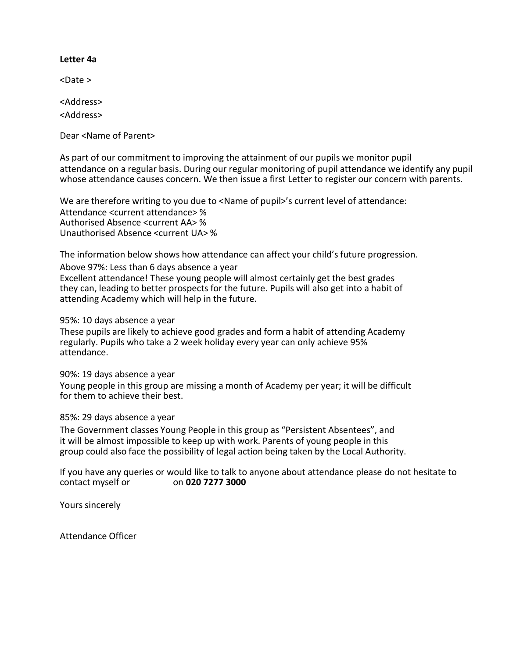#### **Letter 4a**

<Date >

<Address>

<Address>

Dear <Name of Parent>

As part of our commitment to improving the attainment of our pupils we monitor pupil attendance on a regular basis. During our regular monitoring of pupil attendance we identify any pupil whose attendance causes concern. We then issue a first Letter to register our concern with parents.

We are therefore writing to you due to <Name of pupil>'s current level of attendance: Attendance <current attendance> % Authorised Absence <current AA> % Unauthorised Absence <current UA> %

The information below shows how attendance can affect your child's future progression. Above 97%: Less than 6 days absence a year Excellent attendance! These young people will almost certainly get the best grades they can, leading to better prospects for the future. Pupils will also get into a habit of attending Academy which will help in the future.

95%: 10 days absence a year

These pupils are likely to achieve good grades and form a habit of attending Academy regularly. Pupils who take a 2 week holiday every year can only achieve 95% attendance.

90%: 19 days absence a year

Young people in this group are missing a month of Academy per year; it will be difficult for them to achieve their best.

#### 85%: 29 days absence a year

The Government classes Young People in this group as "Persistent Absentees", and it will be almost impossible to keep up with work. Parents of young people in this group could also face the possibility of legal action being taken by the Local Authority.

If you have any queries or would like to talk to anyone about attendance please do not hesitate to contact myself or on **020 7277 3000**

Yours sincerely

Attendance Officer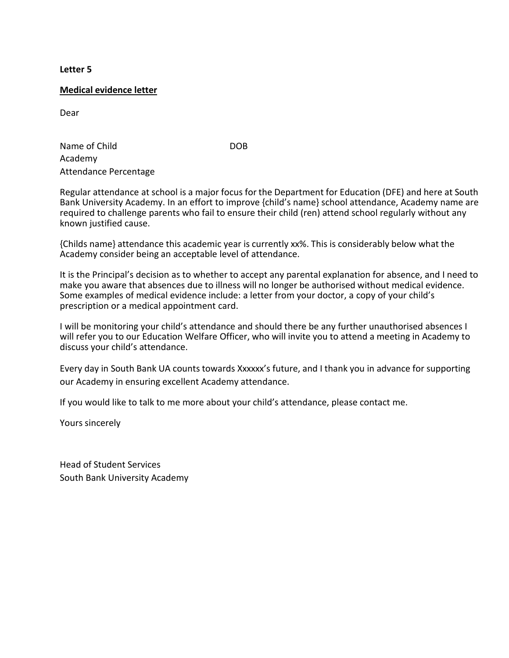#### **Medical evidence letter**

Dear

Name of Child DOB Academy Attendance Percentage

Regular attendance at school is a major focus for the Department for Education (DFE) and here at South Bank University Academy. In an effort to improve {child's name} school attendance, Academy name are required to challenge parents who fail to ensure their child (ren) attend school regularly without any known justified cause.

{Childs name} attendance this academic year is currently xx%. This is considerably below what the Academy consider being an acceptable level of attendance.

It is the Principal's decision as to whether to accept any parental explanation for absence, and I need to make you aware that absences due to illness will no longer be authorised without medical evidence. Some examples of medical evidence include: a letter from your doctor, a copy of your child's prescription or a medical appointment card.

I will be monitoring your child's attendance and should there be any further unauthorised absences I will refer you to our Education Welfare Officer, who will invite you to attend a meeting in Academy to discuss your child's attendance.

Every day in South Bank UA counts towards Xxxxxx's future, and I thank you in advance for supporting our Academy in ensuring excellent Academy attendance.

If you would like to talk to me more about your child's attendance, please contact me.

Yours sincerely

Head of Student Services South Bank University Academy